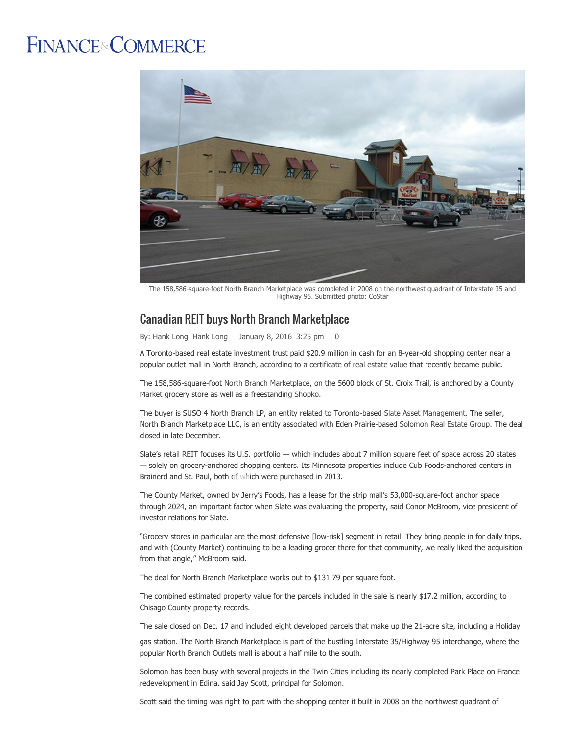## **FINANCE**& COMMERCE



The 158,586-square-foot North Branch Marketplace was completed in 2008 on the northwest quadrant of Interstate 35 and Highway 95. Submitted photo: CoStar

## Canadian REIT buys North Branch Marketplace

By: [Hank](http://finance-commerce.com/author/hank.long@finance-commerce.com/) Long Hank Long January 8, 2016 3:25 pm 0

A Toronto-based real estate investment trust paid \$20.9 million in cash for an 8-year-old shopping center near a popular outlet mall in North Branch, according to a [certificate](http://finance-commerce.com/files/2016/01/NorthBranch-CRV.pdf) of real estate value that recently became public.

The 158,586-square-foot North Branch [Marketplace](http://solomonre.com/north-branch-marketplace-north-branch/), on the 5600 block of St. Croix Trail, is anchored by a County Market grocery store as well as a freestanding [Shopko.](http://www.shopko.com/)

The buyer is SUSO 4 North Branch LP, an entity related to Toronto-based Slate Asset [Management.](http://www.slateam.com/) The seller, North Branch Marketplace LLC, is an entity associated with Eden Prairie-based [Solomon](https://solomonre.com/) Real Estate Group. The deal closed in late December.

Slate's [retail](http://www.slateam.com/reits/retail/) REIT focuses its U.S. portfolio — which includes about 7 million square feet of space across 20 states — solely on grocery-anchored shopping centers. Its Minnesota properties include Cub Foods-anchored centers in Brainerd and St. Paul, both of which were [purchased](http://finance-commerce.com/2013/08/canadian-investor-buys-two-oppidan-retail-centers/) in 2013.

The County Market, owned by Jerry's Foods, has a lease for the strip mall's 53,000-square-foot anchor space through 2024, an important factor when Slate was evaluating the property, said Conor McBroom, vice president of investor relations for Slate.

"Grocery stores in particular are the most defensive [lowrisk] segment in retail. They bring people in for daily trips, and with (County Market) continuing to be a leading grocer there for that community, we really liked the acquisition from that angle," McBroom said.

The deal for North Branch Marketplace works out to \$131.79 per square foot.

The combined estimated property value for the parcels included in the sale is nearly \$17.2 million, according to Chisago County property records.

The sale closed on Dec. 17 and included eight developed parcels that make up the 21-acre site, including a Holiday

gas station. The North Branch Marketplace is part of the bustling Interstate 35/Highway 95 interchange, where the popular North Branch Outlets mall is about a half mile to the south.

Solomon has been busy with several [projects](https://solomonre.com/new-projects/) in the Twin Cities including its nearly [completed](http://finance-commerce.com/2015/06/just-sold-solomon-to-take-over-park-place-on-france-project/) Park Place on France redevelopment in Edina, said Jay Scott, principal for Solomon.

Scott said the timing was right to part with the shopping center it built in 2008 on the northwest quadrant of